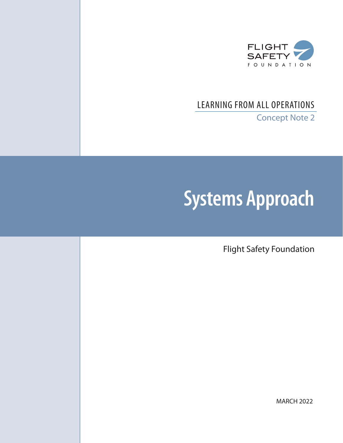

# LEARNING FROM ALL OPERATIONS

Concept Note 2

# **Systems Approach**

Flight Safety Foundation

MARCH 2022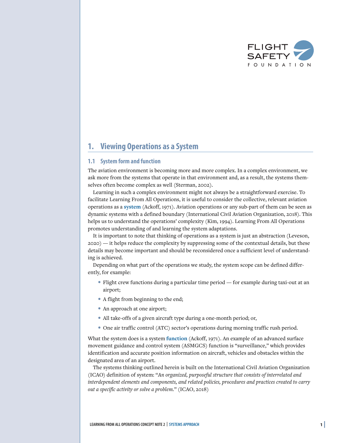

# **1. Viewing Operations as a System**

#### **1.1 System form and function**

The aviation environment is becoming more and more complex. In a complex environment, we ask more from the systems that operate in that environment and, as a result, the systems themselves often become complex as well (Sterman, 2002).

Learning in such a complex environment might not always be a straightforward exercise. To facilitate Learning From All Operations, it is useful to consider the collective, relevant aviation operations as a **system** (Ackoff, 1971). Aviation operations or any sub-part of them can be seen as dynamic systems with a defined boundary (International Civil Aviation Organization, 2018). This helps us to understand the operations' complexity (Kim, 1994). Learning From All Operations promotes understanding of and learning the system adaptations.

It is important to note that thinking of operations as a system is just an abstraction (Leveson, 2020) — it helps reduce the complexity by suppressing some of the contextual details, but these details may become important and should be reconsidered once a sufficient level of understanding is achieved.

Depending on what part of the operations we study, the system scope can be defined differently, for example:

- Flight crew functions during a particular time period for example during taxi-out at an airport;
- A flight from beginning to the end;
- An approach at one airport;
- All take-offs of a given aircraft type during a one-month period; or,
- One air traffic control (ATC) sector's operations during morning traffic rush period.

What the system does is a system **function** (Ackoff, 1971). An example of an advanced surface movement guidance and control system (ASMGCS) function is "surveillance," which provides identification and accurate position information on aircraft, vehicles and obstacles within the designated area of an airport.

The systems thinking outlined herein is built on the International Civil Aviation Organization (ICAO) definition of system: "*An organized, purposeful structure that consists of interrelated and interdependent elements and components, and related policies, procedures and practices created to carry out a specific activity or solve a problem.*" (ICAO, 2018)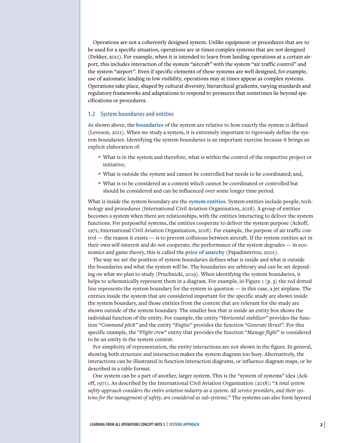Operations are not a coherently designed system. Unlike equipment or procedures that are to be used for a specific situation, operations are at times complex systems that are not designed (Dekker, 2011). For example, when it is intended to learn from landing operations at a certain airport, this includes interaction of the system "aircraft" with the system "air traffic control" and the system "airport". Even if specific elements of these systems are well designed, for example, use of automatic landing in low visibility, operations may at times appear as complex systems. Operations take place, shaped by cultural diversity, hierarchical gradients, varying standards and regulatory frameworks and adaptations to respond to pressures that sometimes lie beyond specifications or procedures.

#### **1.2 System boundaries and entities**

As shown above, the **boundaries** of the system are relative to how exactly the system is defined (Leveson, 2011). When we study a system, it is extremely important to rigorously define the system boundaries. Identifying the system boundaries is an important exercise because it brings an explicit elaboration of:

- What is in the system and therefore, what is within the control of the respective project or initiative;
- What is outside the system and cannot be controlled but needs to be coordinated; and,
- What is to be considered as a context which cannot be coordinated or controlled but should be considered and can be influenced over some longer time period.

What is inside the system boundary are the **system entities**. System entities include people, technology and procedures (International Civil Aviation Organization, 2018). A group of entities becomes a system when there are relationships, with the entities interacting to deliver the system functions. For purposeful systems, the entities cooperate to deliver the system purpose (Ackoff, 1971; International Civil Aviation Organization, 2018). For example, the purpose of air traffic control — the reason it exists — is to prevent collisions between aircraft. If the system entities act in their own self-interest and do not cooperate, the performance of the system degrades — in economics and game theory, this is called the **price of anarchy** (Papadimitriou, 2001).

The way we set the position of system boundaries defines what is inside and what is outside the boundaries and what the system will be. The boundaries are arbitrary and can be set depending on what we plan to study (Pruchnicki, 2019). When identifying the system boundaries, it helps to schematically represent them in a diagram. For example, in Figure 1 (p. 3) the red dotted line represents the system boundary for the system in question — in this case, a jet airplane. The entities inside the system that are considered important for the specific study are shown inside the system boundary, and those entities from the context that are relevant for the study are shown outside of the system boundary. The smaller box that is inside an entity box shows the individual function of the entity. For example, the entity "*Horizontal stabiliser*" provides the function "*Command pitch*" and the entity "*Engine*" provides the function "*Generate thrust"*. For this specific example, the "*Flight crew*" entity that provides the function "*Manage flight*" is considered to be an entity in the system context.

For simplicity of representation, the entity interactions are not shown in the figure. In general, showing both structure and interaction makes the system diagram too busy. Alternatively, the interactions can be illustrated in function interaction diagrams, or influence diagram maps, or be described in a table format.

One system can be a part of another, larger system. This is the "system of systems" idea (Ackoff, 1971). As described by the International Civil Aviation Organization (2018): "*A total system safety approach considers the entire aviation industry as a system. All service providers, and their systems for the management of safety, are considered as sub-systems*." The systems can also form layered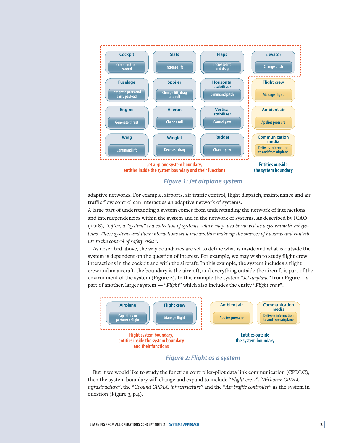

*Figure 1: Jet airplane system*

adaptive networks. For example, airports, air traffic control, flight dispatch, maintenance and air traffic flow control can interact as an adaptive network of systems.

A large part of understanding a system comes from understanding the network of interactions and interdependencies within the system and in the network of systems. As described by ICAO (2018), "*Often, a "system" is a collection of systems, which may also be viewed as a system with subsystems. These systems and their interactions with one another make up the sources of hazards and contribute to the control of safety risks*".

As described above, the way boundaries are set to define what is inside and what is outside the system is dependent on the question of interest. For example, we may wish to study flight crew interactions in the cockpit and with the aircraft. In this example, the system includes a flight crew and an aircraft, the boundary is the aircraft, and everything outside the aircraft is part of the environment of the system (Figure 2). In this example the system "*Jet airplane*" from Figure 1 is part of another, larger system — "*Flight*" which also includes the entity "*Flight crew*".



## *Figure 2: Flight as a system*

But if we would like to study the function controller-pilot data link communication (CPDLC), then the system boundary will change and expand to include "*Flight crew*", "*Airborne CPDLC infrastructure*", the "*Ground CPDLC infrastructure*" and the "*Air traffic controller*" as the system in question (Figure 3, p.4).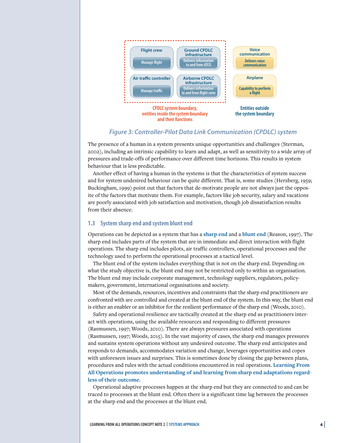

#### *Figure 3: Controller-Pilot Data Link Communication (CPDLC) system*

The presence of a human in a system presents unique opportunities and challenges (Sterman, 2002), including an intrinsic capability to learn and adapt, as well as sensitivity to a wide array of pressures and trade-offs of performance over different time horizons. This results in system behaviour that is less predictable.

Another effect of having a human in the systems is that the characteristics of system success and for system undesired behaviour can be quite different. That is, some studies (Herzberg, 1959; Buckingham, 1999) point out that factors that de-motivate people are not always just the opposite of the factors that motivate them. For example, factors like job security, salary and vacations are poorly associated with job satisfaction and motivation, though job dissatisfaction results from their absence.

#### **1.3 System sharp end and system blunt end**

Operations can be depicted as a system that has a **sharp end** and a **blunt end** (Reason, 1997). The sharp end includes parts of the system that are in immediate and direct interaction with flight operations. The sharp end includes pilots, air traffic controllers, operational processes and the technology used to perform the operational processes at a tactical level.

The blunt end of the system includes everything that is not on the sharp end. Depending on what the study objective is, the blunt end may not be restricted only to within an organisation. The blunt end may include corporate management, technology suppliers, regulators, policymakers, government, international organisations and society.

Most of the demands, resources, incentives and constraints that the sharp end practitioners are confronted with are controlled and created at the blunt end of the system. In this way, the blunt end is either an enabler or an inhibitor for the resilient performance of the sharp end (Woods, 2010).

Safety and operational resilience are tactically created at the sharp end as practitioners interact with operations, using the available resources and responding to different pressures (Rasmussen, 1997; Woods, 2010). There are always pressures associated with operations (Rasmussen, 1997; Woods, 2015). In the vast majority of cases, the sharp end manages pressures and sustains system operations without any undesired outcome. The sharp end anticipates and responds to demands, accommodates variation and change, leverages opportunities and copes with unforeseen issues and surprises. This is sometimes done by closing the gap between plans, procedures and rules with the actual conditions encountered in real operations. **Learning From All Operations promotes understanding of and learning from sharp end adaptations regardless of their outcome.**

Operational adaptive processes happen at the sharp end but they are connected to and can be traced to processes at the blunt end. Often there is a significant time lag between the processes at the sharp end and the processes at the blunt end.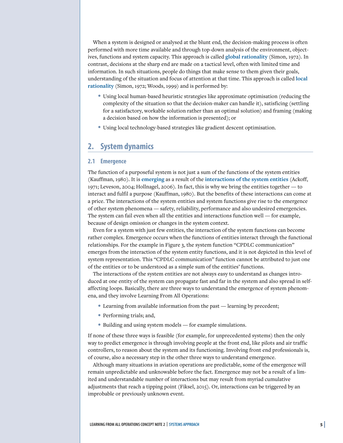When a system is designed or analysed at the blunt end, the decision-making process is often performed with more time available and through top-down analysis of the environment, objectives, functions and system capacity. This approach is called **global rationality** (Simon, 1972). In contrast, decisions at the sharp end are made on a tactical level, often with limited time and information. In such situations, people do things that make sense to them given their goals, understanding of the situation and focus of attention at that time. This approach is called **local rationality** (Simon, 1972; Woods, 1999) and is performed by:

- Using local human-based heuristic strategies like approximate optimisation (reducing the complexity of the situation so that the decision-maker can handle it), satisficing (settling for a satisfactory, workable solution rather than an optimal solution) and framing (making a decision based on how the information is presented); or
- Using local technology-based strategies like gradient descent optimisation.

## **2. System dynamics**

#### **2.1 Emergence**

The function of a purposeful system is not just a sum of the functions of the system entities (Kauffman, 1980). It is **emerging** as a result of the **interactions of the system entities** (Ackoff, 1971; Leveson, 2004; Hollnagel, 2006). In fact, this is why we bring the entities together — to interact and fulfil a purpose (Kauffman, 1980). But the benefits of these interactions can come at a price. The interactions of the system entities and system functions give rise to the emergence of other system phenomena — safety, reliability, performance and also undesired emergencies. The system can fail even when all the entities and interactions function well — for example, because of design omission or changes in the system context.

Even for a system with just few entities, the interaction of the system functions can become rather complex. Emergence occurs when the functions of entities interact through the functional relationships. For the example in Figure 3, the system function "CPDLC communication" emerges from the interaction of the system entity functions, and it is not depicted in this level of system representation. This "CPDLC communication" function cannot be attributed to just one of the entities or to be understood as a simple sum of the entities' functions.

The interactions of the system entities are not always easy to understand as changes introduced at one entity of the system can propagate fast and far in the system and also spread in selfaffecting loops. Basically, there are three ways to understand the emergence of system phenomena, and they involve Learning From All Operations:

- Learning from available information from the past learning by precedent;
- Performing trials; and,
- Building and using system models for example simulations.

If none of these three ways is feasible (for example, for unprecedented systems) then the only way to predict emergence is through involving people at the front end, like pilots and air traffic controllers, to reason about the system and its functioning. Involving front end professionals is, of course, also a necessary step in the other three ways to understand emergence.

Although many situations in aviation operations are predictable, some of the emergence will remain unpredictable and unknowable before the fact. Emergence may not be a result of a limited and understandable number of interactions but may result from myriad cumulative adjustments that reach a tipping point (Fiksel, 2015). Or, interactions can be triggered by an improbable or previously unknown event.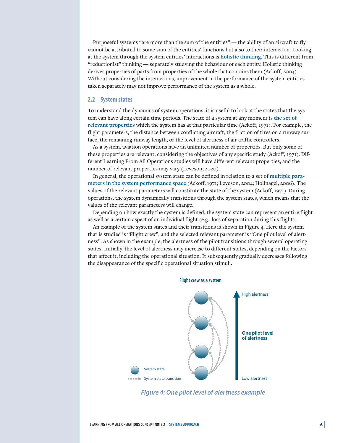Purposeful systems "are more than the sum of the entities" — the ability of an aircraft to fly cannot be attributed to some sum of the entities' functions but also to their interaction. Looking at the system through the system entities' interactions is **holistic thinking**. This is different from "reductionist" thinking — separately studying the behaviour of each entity. Holistic thinking derives properties of parts from properties of the whole that contains them (Ackoff, 2004). Without considering the interactions, improvement in the performance of the system entities taken separately may not improve performance of the system as a whole.

#### **2.2 System states**

To understand the dynamics of system operations, it is useful to look at the states that the system can have along certain time periods. The state of a system at any moment is **the set of relevant properties** which the system has at that particular time (Ackoff, 1971). For example, the flight parameters, the distance between conflicting aircraft, the friction of tires on a runway surface, the remaining runway length, or the level of alertness of air traffic controllers.

As a system, aviation operations have an unlimited number of properties. But only some of these properties are relevant, considering the objectives of any specific study (Ackoff, 1971). Different Learning From All Operations studies will have different relevant properties, and the number of relevant properties may vary (Leveson, 2020).

In general, the operational system state can be defined in relation to a set of **multiple parameters in the system performance space** (Ackoff, 1971; Leveson, 2004; Hollnagel, 2006). The values of the relevant parameters will constitute the state of the system (Ackoff, 1971). During operations, the system dynamically transitions through the system states, which means that the values of the relevant parameters will change.

Depending on how exactly the system is defined, the system state can represent an entire flight as well as a certain aspect of an individual flight (e.g., loss of separation during this flight).

An example of the system states and their transitions is shown in Figure 4. Here the system that is studied is "Flight crew", and the selected relevant parameter is "One pilot level of alertness". As shown in the example, the alertness of the pilot transitions through several operating states. Initially, the level of alertness may increase to different states, depending on the factors that affect it, including the operational situation. It subsequently gradually decreases following the disappearance of the specific operational situation stimuli.



*Figure 4: One pilot level of alertness example*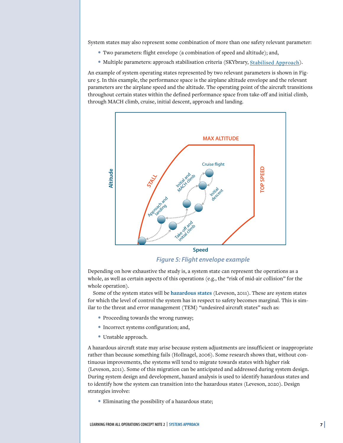System states may also represent some combination of more than one safety relevant parameter:

- Two parameters: flight envelope (a combination of speed and altitude); and,
- Multiple parameters: approach stabilisation criteria (SKYbrary, [Stabilised Approach](https://skybrary.aero/tutorials/stabilised-approach)).

An example of system operating states represented by two relevant parameters is shown in Figure 5. In this example, the performance space is the airplane altitude envelope and the relevant parameters are the airplane speed and the altitude. The operating point of the aircraft transitions throughout certain states within the defined performance space from take-off and initial climb, through MACH climb, cruise, initial descent, approach and landing.



*Figure 5: Flight envelope example*

Depending on how exhaustive the study is, a system state can represent the operations as a whole, as well as certain aspects of this operations (e.g., the "risk of mid-air collision" for the whole operation).

Some of the system states will be **hazardous states** (Leveson, 2011). These are system states for which the level of control the system has in respect to safety becomes marginal. This is similar to the threat and error management (TEM) "undesired aircraft states" such as:

- Proceeding towards the wrong runway;
- Incorrect systems configuration; and,
- Unstable approach.

A hazardous aircraft state may arise because system adjustments are insufficient or inappropriate rather than because something fails (Hollnagel, 2006). Some research shows that, without continuous improvements, the systems will tend to migrate towards states with higher risk (Leveson, 2011). Some of this migration can be anticipated and addressed during system design. During system design and development, hazard analysis is used to identify hazardous states and to identify how the system can transition into the hazardous states (Leveson, 2020). Design strategies involve:

• Eliminating the possibility of a hazardous state;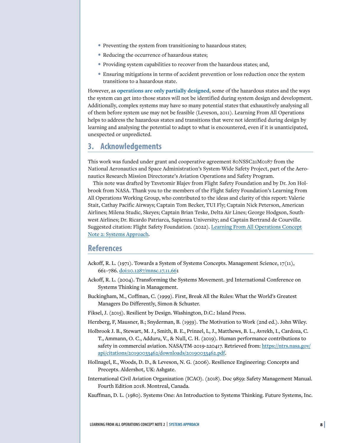- Preventing the system from transitioning to hazardous states;
- Reducing the occurrence of hazardous states;
- Providing system capabilities to recover from the hazardous states; and,
- Ensuring mitigations in terms of accident prevention or loss reduction once the system transitions to a hazardous state.

However, as **operations are only partially designed**, some of the hazardous states and the ways the system can get into those states will not be identified during system design and development. Additionally, complex systems may have so many potential states that exhaustively analysing all of them before system use may not be feasible (Leveson, 2011). Learning From All Operations helps to address the hazardous states and transitions that were not identified during design by learning and analysing the potential to adapt to what is encountered, even if it is unanticipated, unexpected or unpredicted.

# **3. Acknowledgements**

This work was funded under grant and cooperative agreement 80NSSC21M0187 from the National Aeronautics and Space Administration's System-Wide Safety Project, part of the Aeronautics Research Mission Directorate's Aviation Operations and Safety Program.

This note was drafted by Tzvetomir Blajev from Flight Safety Foundation and by Dr. Jon Holbrook from NASA. Thank you to the members of the Flight Safety Foundation's Learning From All Operations Working Group, who contributed to the ideas and clarity of this report: Valerie Stait, Cathay Pacific Airways; Captain Tom Becker, TUI Fly; Captain Nick Peterson, American Airlines; Milena Studic, Skeyes; Captain Brian Teske, Delta Air Lines; George Hodgson, Southwest Airlines; Dr. Ricardo Patriarca, Sapienza University; and Captain Bertrand de Courville. Suggested citation: Flight Safety Foundation. (2022). Learning From All Operations Concept Note 2: Systems Approach.

#### **References**

- Ackoff, R. L. (1971). Towards a System of Systems Concepts. Management Science, 17(11), 661–786. doi:10.1287/mnsc.17.11.661
- Ackoff, R. L. (2004). Transforming the Systems Movement. 3rd International Conference on Systems Thinking in Management.
- Buckingham, M., Coffman, C. (1999). First, Break All the Rules: What the World's Greatest Managers Do Differently, Simon & Schuster.
- Fiksel, J. (2015). Resilient by Design. Washington, D.C.: Island Press.
- Herzberg, F, Mausner, B.; Snyderman, B. (1959). The Motivation to Work (2nd ed.). John Wiley.
- Holbrook J. B., Stewart, M. J., Smith, B. E., Prinzel, L, J., Matthews, B. L., Avrekh, I., Cardoza, C. T., Ammann, O. C., Adduru, V., & Null, C. H. (2019). Human performance contributions to safety in commercial aviation. NASA/TM-2019-220417. Retrieved from: https://ntrs.nasa.gov/ api/citations/20190033462/downloads/20190033462.pdf.
- Hollnagel, E., Woods, D. D., & Leveson, N. G. (2006). Resilience Engineering: Concepts and Precepts. Aldershot, UK: Ashgate.
- International Civil Aviation Organization (ICAO). (2018). Doc 9859: Safety Management Manual. Fourth Edition 2018. Montreal, Canada.
- Kauffman, D. L. (1980). Systems One: An Introduction to Systems Thinking. Future Systems, Inc.